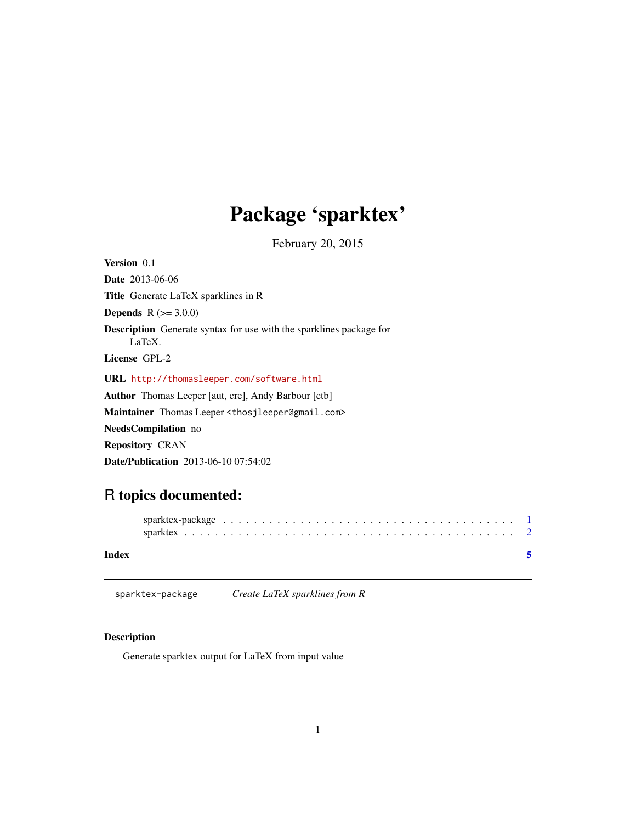# <span id="page-0-0"></span>Package 'sparktex'

February 20, 2015

<span id="page-0-1"></span>

| Version 0.1                                                                          |
|--------------------------------------------------------------------------------------|
| <b>Date</b> 2013-06-06                                                               |
| <b>Title</b> Generate LaTeX sparklines in R                                          |
| <b>Depends</b> $R (= 3.0.0)$                                                         |
| <b>Description</b> Generate syntax for use with the sparklines package for<br>LaTeX. |
| License GPL-2                                                                        |
| URL http://thomasleeper.com/software.html                                            |
| <b>Author</b> Thomas Leeper [aut, cre], Andy Barbour [ctb]                           |
| Maintainer Thomas Leeper <thosjleeper@gmail.com></thosjleeper@gmail.com>             |
| <b>NeedsCompilation</b> no                                                           |
| <b>Repository CRAN</b>                                                               |
| <b>Date/Publication</b> 2013-06-10 07:54:02                                          |

# R topics documented:

| Index |  |  |  |  |  |  |  |  |  |  |  |  |  |  |  |  |  |  |
|-------|--|--|--|--|--|--|--|--|--|--|--|--|--|--|--|--|--|--|

sparktex-package *Create LaTeX sparklines from R*

# Description

Generate sparktex output for LaTeX from input value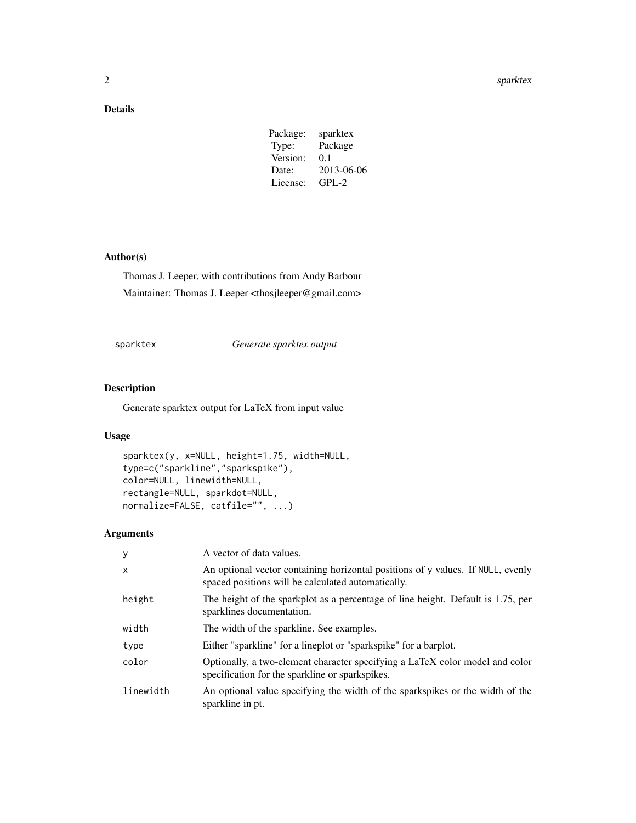# <span id="page-1-0"></span>Details

| Package: | sparktex   |
|----------|------------|
| Type:    | Package    |
| Version: | 0.1        |
| Date:    | 2013-06-06 |
| License: | $GPL-2$    |
|          |            |

# Author(s)

Thomas J. Leeper, with contributions from Andy Barbour Maintainer: Thomas J. Leeper <thosjleeper@gmail.com>

sparktex *Generate sparktex output*

# Description

Generate sparktex output for LaTeX from input value

# Usage

```
sparktex(y, x=NULL, height=1.75, width=NULL,
type=c("sparkline","sparkspike"),
color=NULL, linewidth=NULL,
rectangle=NULL, sparkdot=NULL,
normalize=FALSE, catfile="", ...)
```
# Arguments

| y         | A vector of data values.                                                                                                              |
|-----------|---------------------------------------------------------------------------------------------------------------------------------------|
| x         | An optional vector containing horizontal positions of y values. If NULL, evenly<br>spaced positions will be calculated automatically. |
| height    | The height of the sparkplot as a percentage of line height. Default is 1.75, per<br>sparklines documentation.                         |
| width     | The width of the sparkline. See examples.                                                                                             |
| type      | Either "sparkline" for a lineplot or "sparkspike" for a barplot.                                                                      |
| color     | Optionally, a two-element character specifying a LaTeX color model and color<br>specification for the sparkline or sparkspikes.       |
| linewidth | An optional value specifying the width of the sparkspikes or the width of the<br>sparkline in pt.                                     |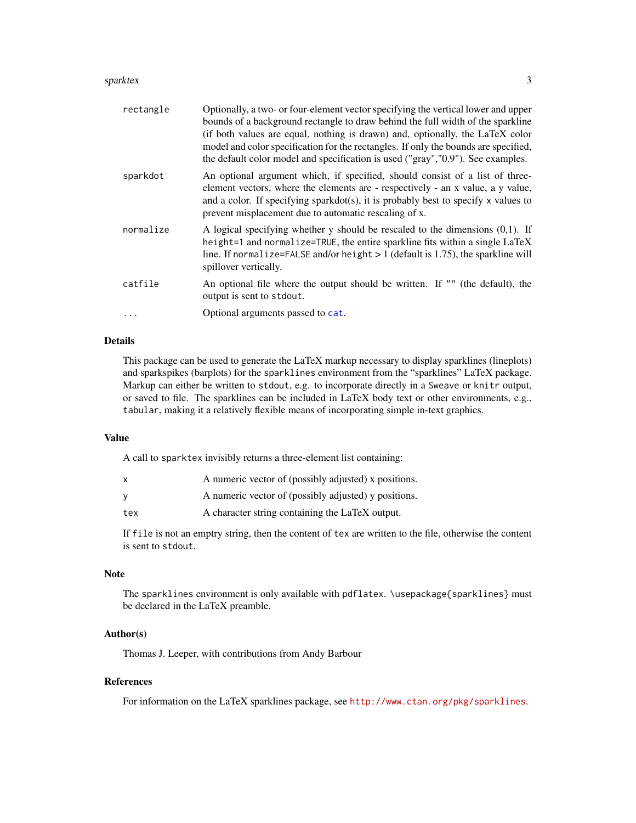#### <span id="page-2-0"></span>sparktex 3

| rectangle | Optionally, a two- or four-element vector specifying the vertical lower and upper<br>bounds of a background rectangle to draw behind the full width of the sparkline<br>(if both values are equal, nothing is drawn) and, optionally, the LaTeX color<br>model and color specification for the rectangles. If only the bounds are specified,<br>the default color model and specification is used ("gray", "0.9"). See examples. |
|-----------|----------------------------------------------------------------------------------------------------------------------------------------------------------------------------------------------------------------------------------------------------------------------------------------------------------------------------------------------------------------------------------------------------------------------------------|
| sparkdot  | An optional argument which, if specified, should consist of a list of three-<br>element vectors, where the elements are - respectively - an x value, a y value,<br>and a color. If specifying sparkdot(s), it is probably best to specify $x$ values to<br>prevent misplacement due to automatic rescaling of x.                                                                                                                 |
| normalize | A logical specifying whether $y$ should be rescaled to the dimensions $(0,1)$ . If<br>height=1 and normalize=TRUE, the entire sparkline fits within a single LaTeX<br>line. If normalize=FALSE and/or height $> 1$ (default is 1.75), the sparkline will<br>spillover vertically.                                                                                                                                                |
| catfile   | An optional file where the output should be written. If "" (the default), the<br>output is sent to stdout.                                                                                                                                                                                                                                                                                                                       |
|           | Optional arguments passed to cat.                                                                                                                                                                                                                                                                                                                                                                                                |

# Details

This package can be used to generate the LaTeX markup necessary to display sparklines (lineplots) and sparkspikes (barplots) for the sparklines environment from the "sparklines" LaTeX package. Markup can either be written to stdout, e.g. to incorporate directly in a Sweave or knitr output, or saved to file. The sparklines can be included in LaTeX body text or other environments, e.g., tabular, making it a relatively flexible means of incorporating simple in-text graphics.

#### Value

A call to sparktex invisibly returns a three-element list containing:

| x   | A numeric vector of (possibly adjusted) x positions. |
|-----|------------------------------------------------------|
| ν   | A numeric vector of (possibly adjusted) y positions. |
| tex | A character string containing the LaTeX output.      |

If file is not an emptry string, then the content of tex are written to the file, otherwise the content is sent to stdout.

### Note

The sparklines environment is only available with pdflatex. \usepackage{sparklines} must be declared in the LaTeX preamble.

### Author(s)

Thomas J. Leeper, with contributions from Andy Barbour

## References

For information on the LaTeX sparklines package, see <http://www.ctan.org/pkg/sparklines>.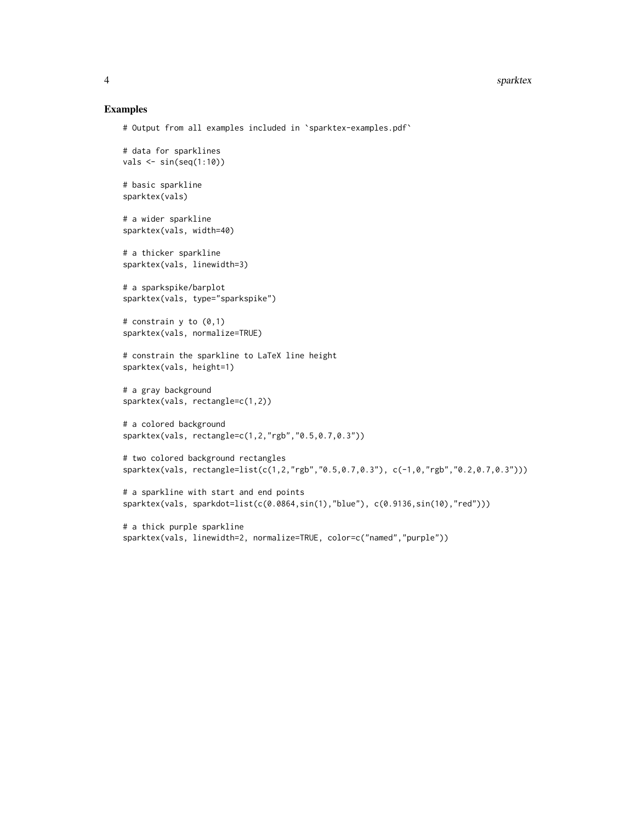#### Examples

```
# Output from all examples included in `sparktex-examples.pdf`
```

```
# data for sparklines
vals \leftarrow sin(seq(1:10))# basic sparkline
sparktex(vals)
# a wider sparkline
sparktex(vals, width=40)
# a thicker sparkline
sparktex(vals, linewidth=3)
# a sparkspike/barplot
sparktex(vals, type="sparkspike")
# constrain y to (0,1)
sparktex(vals, normalize=TRUE)
# constrain the sparkline to LaTeX line height
sparktex(vals, height=1)
# a gray background
sparktex(vals, rectangle=c(1,2))
# a colored background
sparktex(vals, rectangle=c(1,2,"rgb","0.5,0.7,0.3"))
# two colored background rectangles
sparktex(vals, rectangle=list(c(1,2,"rgb","0.5,0.7,0.3"), c(-1,0,"rgb","0.2,0.7,0.3")))
# a sparkline with start and end points
sparktex(vals, sparkdot=list(c(0.0864,sin(1),"blue"), c(0.9136,sin(10),"red")))
# a thick purple sparkline
```
sparktex(vals, linewidth=2, normalize=TRUE, color=c("named","purple"))